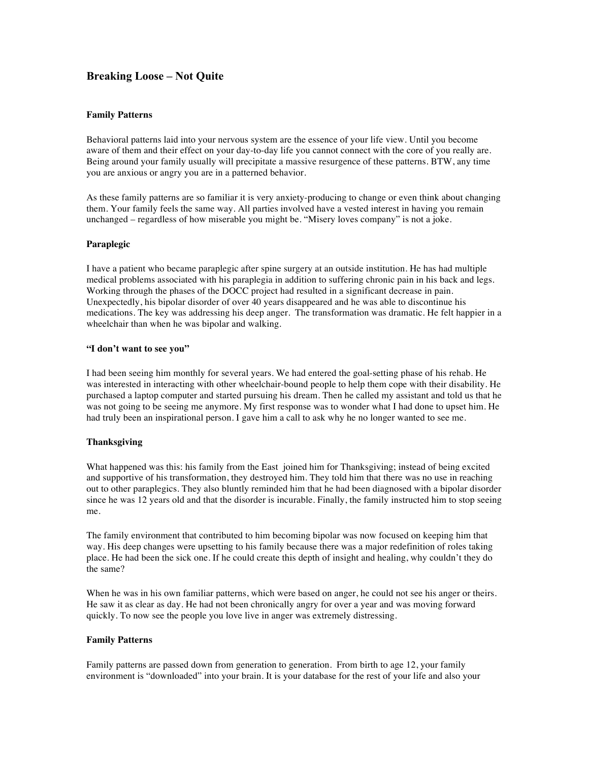# **Breaking Loose – Not Quite**

#### **Family Patterns**

Behavioral patterns laid into your nervous system are the essence of your life view. Until you become aware of them and their effect on your day-to-day life you cannot connect with the core of you really are. Being around your family usually will precipitate a massive resurgence of these patterns. BTW, any time you are anxious or angry you are in a patterned behavior.

As these family patterns are so familiar it is very anxiety-producing to change or even think about changing them. Your family feels the same way. All parties involved have a vested interest in having you remain unchanged – regardless of how miserable you might be. "Misery loves company" is not a joke.

## **Paraplegic**

I have a patient who became paraplegic after spine surgery at an outside institution. He has had multiple medical problems associated with his paraplegia in addition to suffering chronic pain in his back and legs. Working through the phases of the DOCC project had resulted in a significant decrease in pain. Unexpectedly, his bipolar disorder of over 40 years disappeared and he was able to discontinue his medications. The key was addressing his deep anger. The transformation was dramatic. He felt happier in a wheelchair than when he was bipolar and walking.

## **"I don't want to see you"**

I had been seeing him monthly for several years. We had entered the goal-setting phase of his rehab. He was interested in interacting with other wheelchair-bound people to help them cope with their disability. He purchased a laptop computer and started pursuing his dream. Then he called my assistant and told us that he was not going to be seeing me anymore. My first response was to wonder what I had done to upset him. He had truly been an inspirational person. I gave him a call to ask why he no longer wanted to see me.

#### **Thanksgiving**

What happened was this: his family from the East joined him for Thanksgiving; instead of being excited and supportive of his transformation, they destroyed him. They told him that there was no use in reaching out to other paraplegics. They also bluntly reminded him that he had been diagnosed with a bipolar disorder since he was 12 years old and that the disorder is incurable. Finally, the family instructed him to stop seeing me.

The family environment that contributed to him becoming bipolar was now focused on keeping him that way. His deep changes were upsetting to his family because there was a major redefinition of roles taking place. He had been the sick one. If he could create this depth of insight and healing, why couldn't they do the same?

When he was in his own familiar patterns, which were based on anger, he could not see his anger or theirs. He saw it as clear as day. He had not been chronically angry for over a year and was moving forward quickly. To now see the people you love live in anger was extremely distressing.

## **Family Patterns**

Family patterns are passed down from generation to generation. From birth to age 12, your family environment is "downloaded" into your brain. It is your database for the rest of your life and also your